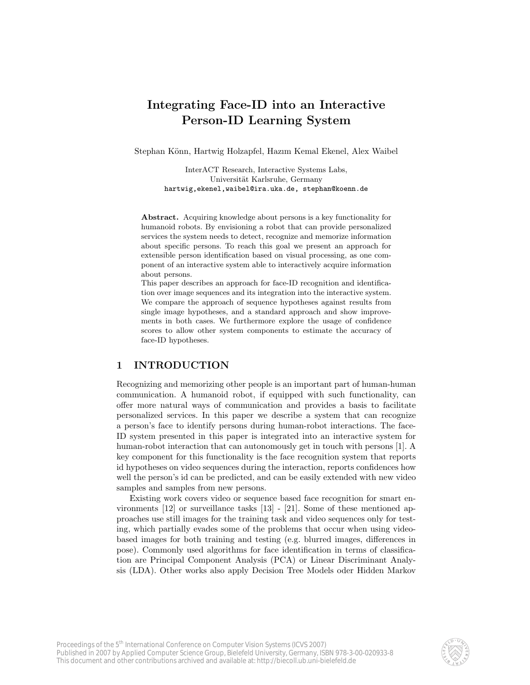# Integrating Face-ID into an Interactive Person-ID Learning System

Stephan Könn, Hartwig Holzapfel, Hazım Kemal Ekenel, Alex Waibel

InterACT Research, Interactive Systems Labs, Universität Karlsruhe, Germany hartwig,ekenel,waibel@ira.uka.de, stephan@koenn.de

Abstract. Acquiring knowledge about persons is a key functionality for humanoid robots. By envisioning a robot that can provide personalized services the system needs to detect, recognize and memorize information about specific persons. To reach this goal we present an approach for extensible person identification based on visual processing, as one component of an interactive system able to interactively acquire information about persons.

This paper describes an approach for face-ID recognition and identification over image sequences and its integration into the interactive system. We compare the approach of sequence hypotheses against results from single image hypotheses, and a standard approach and show improvements in both cases. We furthermore explore the usage of confidence scores to allow other system components to estimate the accuracy of face-ID hypotheses.

## 1 INTRODUCTION

Recognizing and memorizing other people is an important part of human-human communication. A humanoid robot, if equipped with such functionality, can offer more natural ways of communication and provides a basis to facilitate personalized services. In this paper we describe a system that can recognize a person's face to identify persons during human-robot interactions. The face-ID system presented in this paper is integrated into an interactive system for human-robot interaction that can autonomously get in touch with persons [1]. A key component for this functionality is the face recognition system that reports id hypotheses on video sequences during the interaction, reports confidences how well the person's id can be predicted, and can be easily extended with new video samples and samples from new persons.

Existing work covers video or sequence based face recognition for smart environments [12] or surveillance tasks [13] - [21]. Some of these mentioned approaches use still images for the training task and video sequences only for testing, which partially evades some of the problems that occur when using videobased images for both training and testing (e.g. blurred images, differences in pose). Commonly used algorithms for face identification in terms of classification are Principal Component Analysis (PCA) or Linear Discriminant Analysis (LDA). Other works also apply Decision Tree Models oder Hidden Markov

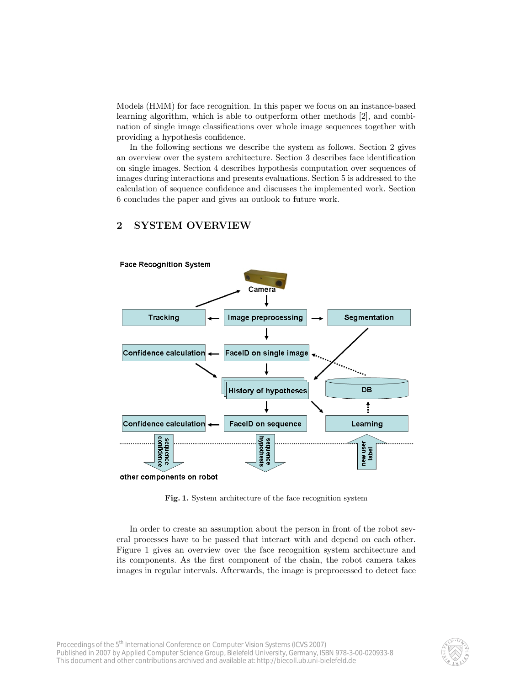Models (HMM) for face recognition. In this paper we focus on an instance-based learning algorithm, which is able to outperform other methods [2], and combination of single image classifications over whole image sequences together with providing a hypothesis confidence.

In the following sections we describe the system as follows. Section 2 gives an overview over the system architecture. Section 3 describes face identification on single images. Section 4 describes hypothesis computation over sequences of images during interactions and presents evaluations. Section 5 is addressed to the calculation of sequence confidence and discusses the implemented work. Section 6 concludes the paper and gives an outlook to future work.

## 2 SYSTEM OVERVIEW



Fig. 1. System architecture of the face recognition system

In order to create an assumption about the person in front of the robot several processes have to be passed that interact with and depend on each other. Figure 1 gives an overview over the face recognition system architecture and its components. As the first component of the chain, the robot camera takes images in regular intervals. Afterwards, the image is preprocessed to detect face

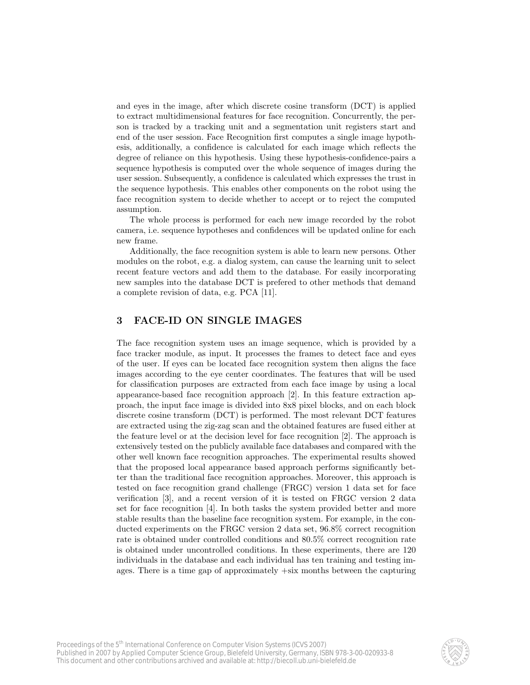and eyes in the image, after which discrete cosine transform (DCT) is applied to extract multidimensional features for face recognition. Concurrently, the person is tracked by a tracking unit and a segmentation unit registers start and end of the user session. Face Recognition first computes a single image hypothesis, additionally, a confidence is calculated for each image which reflects the degree of reliance on this hypothesis. Using these hypothesis-confidence-pairs a sequence hypothesis is computed over the whole sequence of images during the user session. Subsequently, a confidence is calculated which expresses the trust in the sequence hypothesis. This enables other components on the robot using the face recognition system to decide whether to accept or to reject the computed assumption.

The whole process is performed for each new image recorded by the robot camera, i.e. sequence hypotheses and confidences will be updated online for each new frame.

Additionally, the face recognition system is able to learn new persons. Other modules on the robot, e.g. a dialog system, can cause the learning unit to select recent feature vectors and add them to the database. For easily incorporating new samples into the database DCT is prefered to other methods that demand a complete revision of data, e.g. PCA [11].

### 3 FACE-ID ON SINGLE IMAGES

The face recognition system uses an image sequence, which is provided by a face tracker module, as input. It processes the frames to detect face and eyes of the user. If eyes can be located face recognition system then aligns the face images according to the eye center coordinates. The features that will be used for classification purposes are extracted from each face image by using a local appearance-based face recognition approach [2]. In this feature extraction approach, the input face image is divided into 8x8 pixel blocks, and on each block discrete cosine transform (DCT) is performed. The most relevant DCT features are extracted using the zig-zag scan and the obtained features are fused either at the feature level or at the decision level for face recognition [2]. The approach is extensively tested on the publicly available face databases and compared with the other well known face recognition approaches. The experimental results showed that the proposed local appearance based approach performs significantly better than the traditional face recognition approaches. Moreover, this approach is tested on face recognition grand challenge (FRGC) version 1 data set for face verification [3], and a recent version of it is tested on FRGC version 2 data set for face recognition [4]. In both tasks the system provided better and more stable results than the baseline face recognition system. For example, in the conducted experiments on the FRGC version 2 data set, 96.8% correct recognition rate is obtained under controlled conditions and 80.5% correct recognition rate is obtained under uncontrolled conditions. In these experiments, there are 120 individuals in the database and each individual has ten training and testing images. There is a time gap of approximately +six months between the capturing

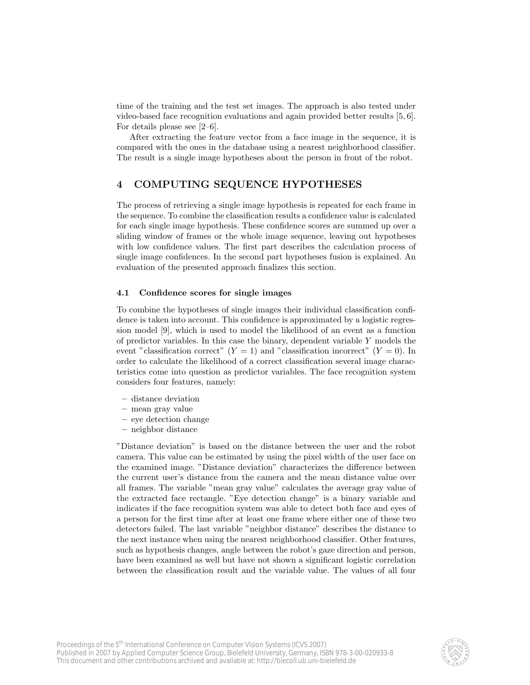time of the training and the test set images. The approach is also tested under video-based face recognition evaluations and again provided better results [5, 6]. For details please see [2–6].

After extracting the feature vector from a face image in the sequence, it is compared with the ones in the database using a nearest neighborhood classifier. The result is a single image hypotheses about the person in front of the robot.

### 4 COMPUTING SEQUENCE HYPOTHESES

The process of retrieving a single image hypothesis is repeated for each frame in the sequence. To combine the classification results a confidence value is calculated for each single image hypothesis. These confidence scores are summed up over a sliding window of frames or the whole image sequence, leaving out hypotheses with low confidence values. The first part describes the calculation process of single image confidences. In the second part hypotheses fusion is explained. An evaluation of the presented approach finalizes this section.

#### 4.1 Confidence scores for single images

To combine the hypotheses of single images their individual classification confidence is taken into account. This confidence is approximated by a logistic regression model [9], which is used to model the likelihood of an event as a function of predictor variables. In this case the binary, dependent variable Y models the event "classification correct"  $(Y = 1)$  and "classification incorrect"  $(Y = 0)$ . In order to calculate the likelihood of a correct classification several image characteristics come into question as predictor variables. The face recognition system considers four features, namely:

- distance deviation
- mean gray value
- eye detection change
- neighbor distance

"Distance deviation" is based on the distance between the user and the robot camera. This value can be estimated by using the pixel width of the user face on the examined image. "Distance deviation" characterizes the difference between the current user's distance from the camera and the mean distance value over all frames. The variable "mean gray value" calculates the average gray value of the extracted face rectangle. "Eye detection change" is a binary variable and indicates if the face recognition system was able to detect both face and eyes of a person for the first time after at least one frame where either one of these two detectors failed. The last variable "neighbor distance" describes the distance to the next instance when using the nearest neighborhood classifier. Other features, such as hypothesis changes, angle between the robot's gaze direction and person, have been examined as well but have not shown a significant logistic correlation between the classification result and the variable value. The values of all four

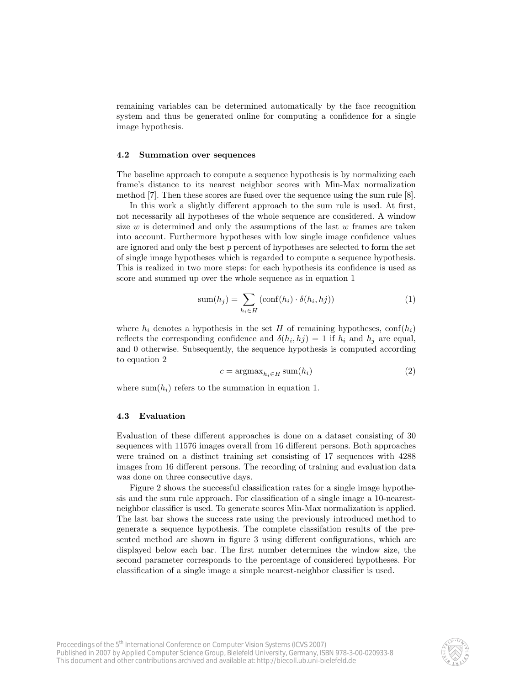remaining variables can be determined automatically by the face recognition system and thus be generated online for computing a confidence for a single image hypothesis.

#### 4.2 Summation over sequences

The baseline approach to compute a sequence hypothesis is by normalizing each frame's distance to its nearest neighbor scores with Min-Max normalization method [7]. Then these scores are fused over the sequence using the sum rule [8].

In this work a slightly different approach to the sum rule is used. At first, not necessarily all hypotheses of the whole sequence are considered. A window size  $w$  is determined and only the assumptions of the last  $w$  frames are taken into account. Furthermore hypotheses with low single image confidence values are ignored and only the best p percent of hypotheses are selected to form the set of single image hypotheses which is regarded to compute a sequence hypothesis. This is realized in two more steps: for each hypothesis its confidence is used as score and summed up over the whole sequence as in equation 1

$$
sum(h_j) = \sum_{h_i \in H} (conf(h_i) \cdot \delta(h_i, hj))
$$
\n(1)

where  $h_i$  denotes a hypothesis in the set H of remaining hypotheses, conf $(h_i)$ reflects the corresponding confidence and  $\delta(h_i, hj) = 1$  if  $h_i$  and  $h_j$  are equal, and 0 otherwise. Subsequently, the sequence hypothesis is computed according to equation 2

$$
c = \operatorname{argmax}_{h_i \in H} \operatorname{sum}(h_i)
$$
\n<sup>(2)</sup>

where sum( $h_i$ ) refers to the summation in equation 1.

#### 4.3 Evaluation

Evaluation of these different approaches is done on a dataset consisting of 30 sequences with 11576 images overall from 16 different persons. Both approaches were trained on a distinct training set consisting of 17 sequences with 4288 images from 16 different persons. The recording of training and evaluation data was done on three consecutive days.

Figure 2 shows the successful classification rates for a single image hypothesis and the sum rule approach. For classification of a single image a 10-nearestneighbor classifier is used. To generate scores Min-Max normalization is applied. The last bar shows the success rate using the previously introduced method to generate a sequence hypothesis. The complete classifation results of the presented method are shown in figure 3 using different configurations, which are displayed below each bar. The first number determines the window size, the second parameter corresponds to the percentage of considered hypotheses. For classification of a single image a simple nearest-neighbor classifier is used.

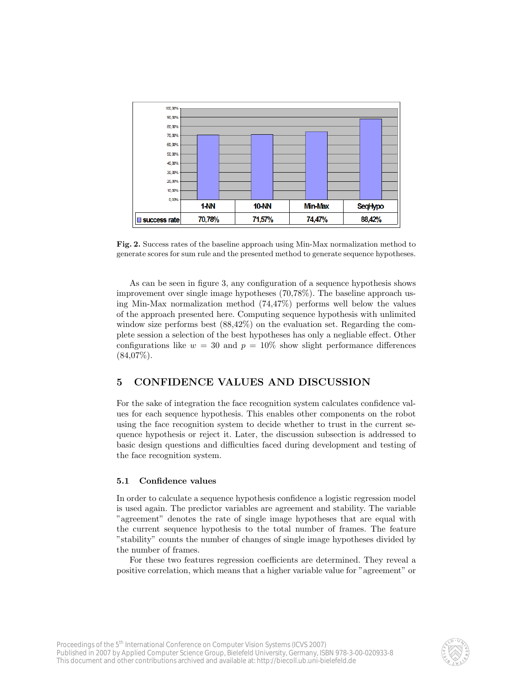

Fig. 2. Success rates of the baseline approach using Min-Max normalization method to generate scores for sum rule and the presented method to generate sequence hypotheses.

As can be seen in figure 3, any configuration of a sequence hypothesis shows improvement over single image hypotheses (70,78%). The baseline approach using Min-Max normalization method (74,47%) performs well below the values of the approach presented here. Computing sequence hypothesis with unlimited window size performs best (88,42%) on the evaluation set. Regarding the complete session a selection of the best hypotheses has only a negliable effect. Other configurations like  $w = 30$  and  $p = 10\%$  show slight performance differences  $(84,07\%).$ 

# 5 CONFIDENCE VALUES AND DISCUSSION

For the sake of integration the face recognition system calculates confidence values for each sequence hypothesis. This enables other components on the robot using the face recognition system to decide whether to trust in the current sequence hypothesis or reject it. Later, the discussion subsection is addressed to basic design questions and difficulties faced during development and testing of the face recognition system.

#### 5.1 Confidence values

In order to calculate a sequence hypothesis confidence a logistic regression model is used again. The predictor variables are agreement and stability. The variable "agreement" denotes the rate of single image hypotheses that are equal with the current sequence hypothesis to the total number of frames. The feature "stability" counts the number of changes of single image hypotheses divided by the number of frames.

For these two features regression coefficients are determined. They reveal a positive correlation, which means that a higher variable value for "agreement" or

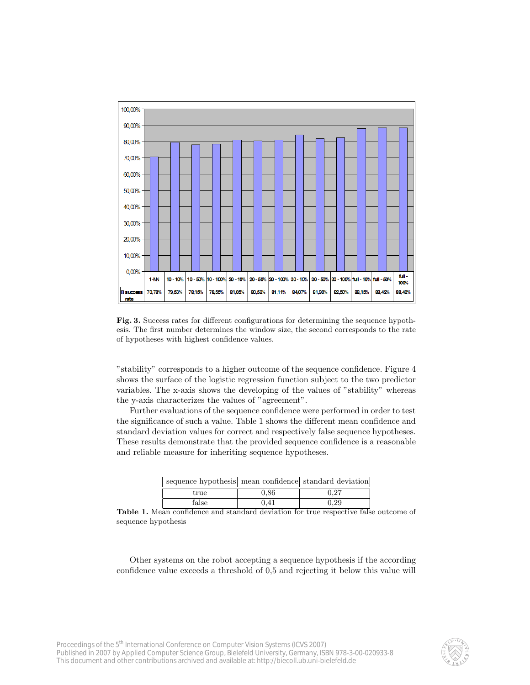

Fig. 3. Success rates for different configurations for determining the sequence hypothesis. The first number determines the window size, the second corresponds to the rate of hypotheses with highest confidence values.

"stability" corresponds to a higher outcome of the sequence confidence. Figure 4 shows the surface of the logistic regression function subject to the two predictor variables. The x-axis shows the developing of the values of "stability" whereas the y-axis characterizes the values of "agreement".

Further evaluations of the sequence confidence were performed in order to test the significance of such a value. Table 1 shows the different mean confidence and standard deviation values for correct and respectively false sequence hypotheses. These results demonstrate that the provided sequence confidence is a reasonable and reliable measure for inheriting sequence hypotheses.

| sequence hypothesis mean confidence standard deviation |          |      |
|--------------------------------------------------------|----------|------|
| true                                                   | $0.86\,$ | 0.27 |
| false                                                  | 0.41     | 7.29 |

Table 1. Mean confidence and standard deviation for true respective false outcome of sequence hypothesis

Other systems on the robot accepting a sequence hypothesis if the according confidence value exceeds a threshold of 0,5 and rejecting it below this value will

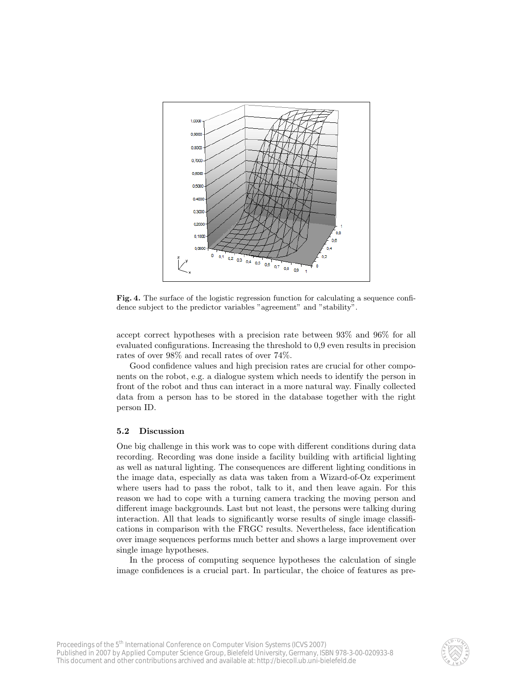

Fig. 4. The surface of the logistic regression function for calculating a sequence confidence subject to the predictor variables "agreement" and "stability".

accept correct hypotheses with a precision rate between 93% and 96% for all evaluated configurations. Increasing the threshold to 0,9 even results in precision rates of over 98% and recall rates of over 74%.

Good confidence values and high precision rates are crucial for other components on the robot, e.g. a dialogue system which needs to identify the person in front of the robot and thus can interact in a more natural way. Finally collected data from a person has to be stored in the database together with the right person ID.

#### 5.2 Discussion

One big challenge in this work was to cope with different conditions during data recording. Recording was done inside a facility building with artificial lighting as well as natural lighting. The consequences are different lighting conditions in the image data, especially as data was taken from a Wizard-of-Oz experiment where users had to pass the robot, talk to it, and then leave again. For this reason we had to cope with a turning camera tracking the moving person and different image backgrounds. Last but not least, the persons were talking during interaction. All that leads to significantly worse results of single image classifications in comparison with the FRGC results. Nevertheless, face identification over image sequences performs much better and shows a large improvement over single image hypotheses.

In the process of computing sequence hypotheses the calculation of single image confidences is a crucial part. In particular, the choice of features as pre-

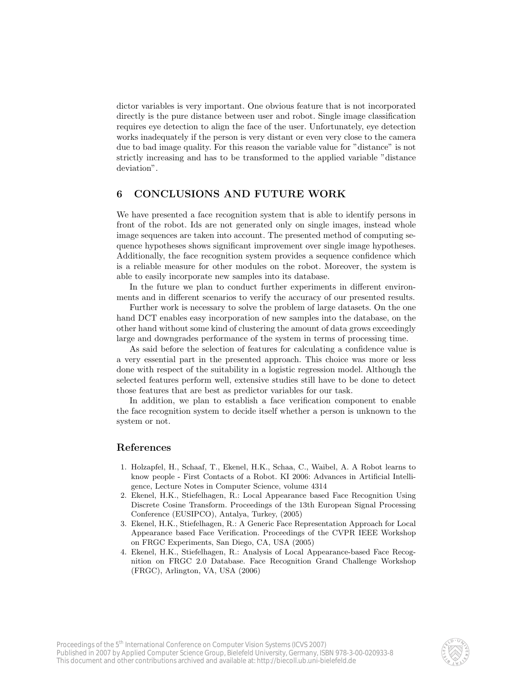dictor variables is very important. One obvious feature that is not incorporated directly is the pure distance between user and robot. Single image classification requires eye detection to align the face of the user. Unfortunately, eye detection works inadequately if the person is very distant or even very close to the camera due to bad image quality. For this reason the variable value for "distance" is not strictly increasing and has to be transformed to the applied variable "distance deviation".

# 6 CONCLUSIONS AND FUTURE WORK

We have presented a face recognition system that is able to identify persons in front of the robot. Ids are not generated only on single images, instead whole image sequences are taken into account. The presented method of computing sequence hypotheses shows significant improvement over single image hypotheses. Additionally, the face recognition system provides a sequence confidence which is a reliable measure for other modules on the robot. Moreover, the system is able to easily incorporate new samples into its database.

In the future we plan to conduct further experiments in different environments and in different scenarios to verify the accuracy of our presented results.

Further work is necessary to solve the problem of large datasets. On the one hand DCT enables easy incorporation of new samples into the database, on the other hand without some kind of clustering the amount of data grows exceedingly large and downgrades performance of the system in terms of processing time.

As said before the selection of features for calculating a confidence value is a very essential part in the presented approach. This choice was more or less done with respect of the suitability in a logistic regression model. Although the selected features perform well, extensive studies still have to be done to detect those features that are best as predictor variables for our task.

In addition, we plan to establish a face verification component to enable the face recognition system to decide itself whether a person is unknown to the system or not.

### References

- 1. Holzapfel, H., Schaaf, T., Ekenel, H.K., Schaa, C., Waibel, A. A Robot learns to know people - First Contacts of a Robot. KI 2006: Advances in Artificial Intelligence, Lecture Notes in Computer Science, volume 4314
- 2. Ekenel, H.K., Stiefelhagen, R.: Local Appearance based Face Recognition Using Discrete Cosine Transform. Proceedings of the 13th European Signal Processing Conference (EUSIPCO), Antalya, Turkey, (2005)
- 3. Ekenel, H.K., Stiefelhagen, R.: A Generic Face Representation Approach for Local Appearance based Face Verification. Proceedings of the CVPR IEEE Workshop on FRGC Experiments, San Diego, CA, USA (2005)
- 4. Ekenel, H.K., Stiefelhagen, R.: Analysis of Local Appearance-based Face Recognition on FRGC 2.0 Database. Face Recognition Grand Challenge Workshop (FRGC), Arlington, VA, USA (2006)